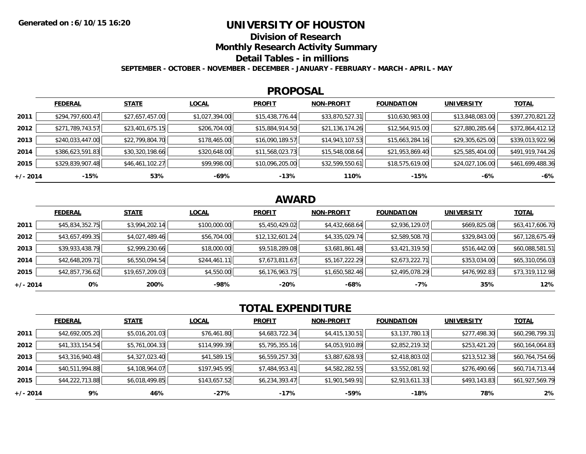### **UNIVERSITY OF HOUSTON**

**Division of Research**

**Monthly Research Activity Summary**

**Detail Tables - in millions**

**SEPTEMBER - OCTOBER - NOVEMBER - DECEMBER - JANUARY - FEBRUARY - MARCH - APRIL - MAY**

#### **PROPOSAL**

|            | <b>FEDERAL</b>   | <b>STATE</b>    | <b>LOCAL</b>   | <b>PROFIT</b>   | <b>NON-PROFIT</b> | <b>FOUNDATION</b> | <b>UNIVERSITY</b> | <u>TOTAL</u>     |
|------------|------------------|-----------------|----------------|-----------------|-------------------|-------------------|-------------------|------------------|
| 2011       | \$294,797,600.47 | \$27,657,457.00 | \$1,027,394.00 | \$15,438,776.44 | \$33,870,527.31   | \$10,630,983.00   | \$13,848,083.00   | \$397,270,821.22 |
| 2012       | \$271,789,743.57 | \$23,401,675.15 | \$206,704.00   | \$15,884,914.50 | \$21,136,174.26   | \$12,564,915.00   | \$27,880,285.64   | \$372,864,412.12 |
| 2013       | \$240,033,447.00 | \$22,799,804.70 | \$178,465.00   | \$16,090,189.57 | \$14,943,107.53   | \$15,663,284.16   | \$29,305,625.00   | \$339,013,922.96 |
| 2014       | \$386,623,591.83 | \$30,320,198.66 | \$320,648.00   | \$11,568,023.73 | \$15,548,008.64   | \$21,953,869.40   | \$25,585,404.00   | \$491,919,744.26 |
| 2015       | \$329,839,907.48 | \$46,461,102.27 | \$99,998.00    | \$10,096,205.00 | \$32,599,550.61   | \$18,575,619.00   | \$24,027,106.00   | \$461,699,488.36 |
| $+/- 2014$ | -15%             | 53%             | -69%           | $-13%$          | 110%              | $-15%$            | -6%               | $-6%$            |

## **AWARD**

|            | <b>FEDERAL</b>  | <b>STATE</b>    | <b>LOCAL</b> | <b>PROFIT</b>   | <b>NON-PROFIT</b> | <b>FOUNDATION</b> | <b>UNIVERSITY</b> | <b>TOTAL</b>    |
|------------|-----------------|-----------------|--------------|-----------------|-------------------|-------------------|-------------------|-----------------|
| 2011       | \$45,834,352.75 | \$3,994,202.14  | \$100,000.00 | \$5,450,429.02  | \$4,432,668.64    | \$2,936,129.07    | \$669,825.08      | \$63,417,606.70 |
| 2012       | \$43,657,499.35 | \$4,027,489.46  | \$56,704.00  | \$12,132,601.24 | \$4,335,029.74    | \$2,589,508.70    | \$329,843.00      | \$67,128,675.49 |
| 2013       | \$39,933,438.79 | \$2,999,230.66  | \$18,000.00  | \$9,518,289.08  | \$3,681,861.48    | \$3,421,319.50    | \$516,442.00      | \$60,088,581.51 |
| 2014       | \$42,648,209.71 | \$6,550,094.54  | \$244,461.11 | \$7,673,811.67  | \$5,167,222.29    | \$2,673,222.71    | \$353,034.00      | \$65,310,056.03 |
| 2015       | \$42,857,736.62 | \$19,657,209.03 | \$4,550.00   | \$6,176,963.75  | \$1,650,582.46    | \$2,495,078.29    | \$476,992.83      | \$73,319,112.98 |
| $+/- 2014$ | 0%              | 200%            | -98%         | $-20%$          | -68%              | -7%               | 35%               | 12%             |

# **TOTAL EXPENDITURE**

|            | <b>FEDERAL</b>  | <b>STATE</b>   | <b>LOCAL</b> | <b>PROFIT</b>  | <b>NON-PROFIT</b> | <b>FOUNDATION</b> | <b>UNIVERSITY</b> | <b>TOTAL</b>    |
|------------|-----------------|----------------|--------------|----------------|-------------------|-------------------|-------------------|-----------------|
| 2011       | \$42,692,005.20 | \$5,016,201.03 | \$76,461.80  | \$4,683,722.34 | \$4,415,130.51    | \$3,137,780.13    | \$277,498.30      | \$60,298,799.31 |
| 2012       | \$41,333,154.54 | \$5,761,004.33 | \$114,999.39 | \$5,795,355.16 | \$4,053,910.89    | \$2,852,219.32    | \$253,421.20      | \$60,164,064.83 |
| 2013       | \$43,316,940.48 | \$4,327,023.40 | \$41,589.15  | \$6,559,257.30 | \$3,887,628.93    | \$2,418,803.02    | \$213,512.38      | \$60,764,754.66 |
| 2014       | \$40,511,994.88 | \$4,108,964.07 | \$197,945.95 | \$7,484,953.41 | \$4,582,282.55    | \$3,552,081.92    | \$276,490.66      | \$60,714,713.44 |
| 2015       | \$44,222,713.88 | \$6,018,499.85 | \$143,657.52 | \$6,234,393.47 | \$1,901,549.91    | \$2,913,611.33    | \$493,143.83      | \$61,927,569.79 |
| $+/- 2014$ | 9%              | 46%            | -27%         | -17%           | -59%              | -18%              | 78%               | 2%              |